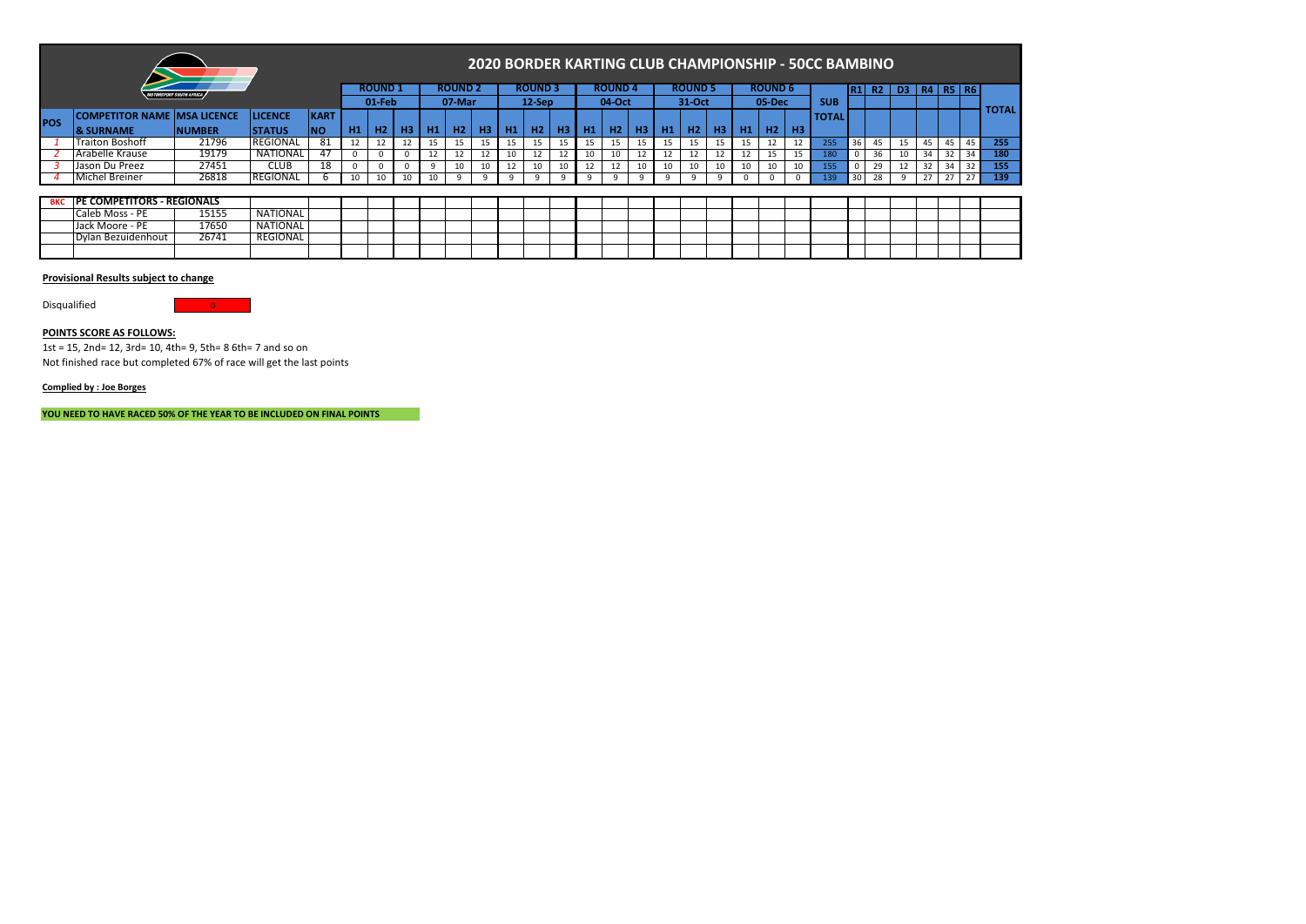|            |                                     |                                       |                 |             |    |               |                |     |                |    |    |                |         |                |                |           |    |                |    |           |                |    | 2020 BORDER KARTING CLUB CHAMPIONSHIP - 50CC BAMBINO |            |    |                |             |              |    |              |
|------------|-------------------------------------|---------------------------------------|-----------------|-------------|----|---------------|----------------|-----|----------------|----|----|----------------|---------|----------------|----------------|-----------|----|----------------|----|-----------|----------------|----|------------------------------------------------------|------------|----|----------------|-------------|--------------|----|--------------|
|            |                                     | <i><b>IOTORSPORT SOUTH AFRICA</b></i> |                 |             |    | <b>ROUND1</b> |                |     | <b>ROUND 2</b> |    |    | <b>ROUND 3</b> |         |                | <b>ROUND 4</b> |           |    | <b>ROUND 5</b> |    |           | <b>ROUND 6</b> |    |                                                      | <b>IR1</b> | R2 | D <sub>3</sub> | <b>R4</b> I | <b>R5 R6</b> |    |              |
|            |                                     |                                       |                 |             |    | $01$ -Feb     |                |     | 07-Mar         |    |    | $12-Sep$       |         |                | 04-Oct         |           |    | 31-Oct         |    |           | 05-Dec         |    | <b>SUB</b>                                           |            |    |                |             |              |    |              |
|            | <b>COMPETITOR NAME IMSA LICENCE</b> |                                       | <b>LICENCE</b>  | <b>KART</b> |    |               |                |     |                |    |    |                |         |                |                |           |    |                |    |           |                |    | <b>TOTAL</b>                                         |            |    |                |             |              |    | <b>TOTAL</b> |
| POS        | <b>&amp; SURNAME</b>                | <b>NUMBER</b>                         | <b>ISTATUS</b>  | <b>INO</b>  | H1 | H2            | H <sub>3</sub> | H1  | H2             | H3 | H1 | H2             | H3      | H <sub>1</sub> | H2             | <b>H3</b> | H1 | H2             | H3 | <b>H1</b> | H2             | H3 |                                                      |            |    |                |             |              |    |              |
|            | <b>Traiton Boshoff</b>              | 21796                                 | <b>REGIONAL</b> | 81          |    |               |                | 15. | 15.            |    | 15 | 15             | 15      | 15             | 15             | 15        | 15 | 15             | 15 | 15        | 12             | 12 | 255                                                  | 36         | 45 | 15             | 45          | 45           | 45 | 255          |
|            | Arabelle Krause                     | 19179                                 | <b>NATIONAL</b> | 47          |    |               |                |     |                |    |    |                |         | 10             | 10             |           | 12 | 12             |    | 12        | 15             | 15 | 180                                                  | $^{\circ}$ | 36 | 10             | 34          | 32           | 34 | 180          |
|            | Jason Du Preez                      | 27451                                 | <b>CLUB</b>     | 18          |    |               |                |     | 10             |    | 12 |                |         | 12             | 12             | 10        | 10 | 10             | 10 | 10        | 10             | 10 | 155                                                  | 0          | 29 | 12             | 32          | 34           | 32 | 155          |
|            | Michel Breiner                      | 26818                                 | REGIONAL        |             | 10 | 10            | 10             | 10  |                | -9 | 9  | 9              | $\circ$ | 9              | 9              |           | 9  |                |    |           |                |    | 139                                                  | 30         | 28 |                |             | 27           | 27 | 139          |
|            |                                     |                                       |                 |             |    |               |                |     |                |    |    |                |         |                |                |           |    |                |    |           |                |    |                                                      |            |    |                |             |              |    |              |
| <b>BKC</b> | <b>PE COMPETITORS - REGIONALS</b>   |                                       |                 |             |    |               |                |     |                |    |    |                |         |                |                |           |    |                |    |           |                |    |                                                      |            |    |                |             |              |    |              |
|            | Caleb Moss - PE                     | 15155                                 | <b>NATIONAL</b> |             |    |               |                |     |                |    |    |                |         |                |                |           |    |                |    |           |                |    |                                                      |            |    |                |             |              |    |              |
|            | Jack Moore - PE                     | 17650                                 | <b>NATIONAL</b> |             |    |               |                |     |                |    |    |                |         |                |                |           |    |                |    |           |                |    |                                                      |            |    |                |             |              |    |              |
|            | Dylan Bezuidenhout                  | 26741                                 | REGIONAL        |             |    |               |                |     |                |    |    |                |         |                |                |           |    |                |    |           |                |    |                                                      |            |    |                |             |              |    |              |

Disqualified **District Contact Contact Contact Contact Contact Contact Contact Contact Contact Contact Contact Contact Contact Contact Contact Contact Contact Contact Contact Contact Contact Contact Contact Contact Contact** 

## **POINTS SCORE AS FOLLOWS:**

1st = 15, 2nd= 12, 3rd= 10, 4th= 9, 5th= 8 6th= 7 and so on Not finished race but completed 67% of race will get the last points

# **Complied by : Joe Borges**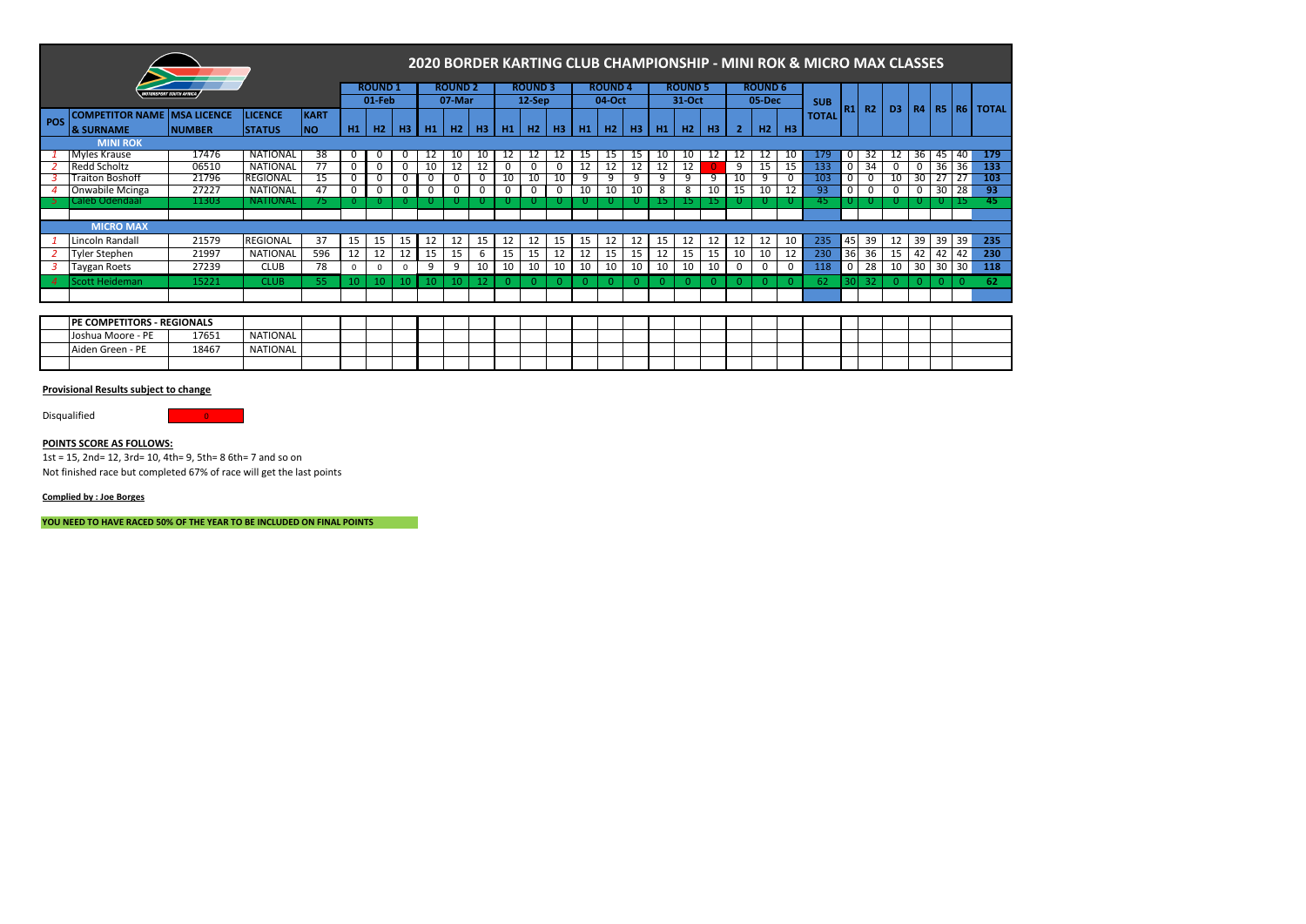|                |                        |                                       |                 |                |    |        |                |    |        |                |    |                |               |                |          |                |                |        |                |    |        |    | 2020 BORDER KARTING CLUB CHAMPIONSHIP - MINI ROK & MICRO MAX CLASSES |                |    |                |    |                 |    |                             |
|----------------|------------------------|---------------------------------------|-----------------|----------------|----|--------|----------------|----|--------|----------------|----|----------------|---------------|----------------|----------|----------------|----------------|--------|----------------|----|--------|----|----------------------------------------------------------------------|----------------|----|----------------|----|-----------------|----|-----------------------------|
|                |                        | <i><b>IOTORSPORT SOUTH AFRICA</b></i> |                 | <b>ROUND 1</b> |    |        | <b>ROUND 2</b> |    |        | <b>ROUND 3</b> |    |                | <b>ROUND4</b> |                |          | <b>ROUND 5</b> |                |        | <b>ROUND 6</b> |    |        |    |                                                                      |                |    |                |    |                 |    |                             |
|                |                        |                                       |                 |                |    | 01-Feb |                |    | 07-Mar |                |    | 12-Sep         |               |                | 04-Oct   |                |                | 31-Oct |                |    | 05-Dec |    | <b>SUB</b>                                                           | R <sub>1</sub> | R2 | D <sub>3</sub> |    |                 |    | <b>R4   R5   R6   TOTAL</b> |
| <b>POS</b>     | <b>COMPETITOR NAME</b> | <b>MSA LICENCE</b>                    | <b>LICENCE</b>  | <b>KART</b>    |    |        |                |    |        |                |    |                |               |                |          |                |                |        |                |    |        |    | <b>TOTAL</b>                                                         |                |    |                |    |                 |    |                             |
|                | <b>&amp; SURNAME</b>   | <b>NUMBER</b>                         | <b>STATUS</b>   | <b>NO</b>      | H1 | H2     | H <sub>3</sub> | H1 | H2     | H <sub>3</sub> | H1 | H <sub>2</sub> | <b>H3</b>     | H <sub>1</sub> | H2       | H <sub>3</sub> | H <sub>1</sub> | H2     | H <sub>3</sub> |    | H2     | H3 |                                                                      |                |    |                |    |                 |    |                             |
|                | <b>MINI ROK</b>        |                                       |                 |                |    |        |                |    |        |                |    |                |               |                |          |                |                |        |                |    |        |    |                                                                      |                |    |                |    |                 |    |                             |
|                | <b>Myles Krause</b>    | 17476                                 | NATIONAL        | 38             | -C | 0      | 0              | 12 | 10     | 10             | 12 | 12             |               | 15             | 15       | 15             | 10             | 10     | 12             | 12 | 12     | 10 | 179                                                                  | 0              | 32 | 12             | 36 | 45              | 40 | 179                         |
|                | Redd Scholtz           | 06510                                 | NATIONAL        |                |    | 0      | 0              | 10 | 12     | 12             |    | 0              | $\Omega$      |                | 12       | 12             | 12             | 12     |                | 9  | 15     | 15 | 133                                                                  | 0              | 34 |                |    | 36              | 36 | 133                         |
|                | Traiton Boshoff        | 21796                                 | <b>REGIONAL</b> | 15             | 0  | 0      | 0              | 0  | 0      | U              | 10 | 10             | 10            | 9              | 9        | 9              |                |        | 9              | 10 | 9      | 0  | 103                                                                  | 0              | 0  | 10             | 30 |                 |    | 103                         |
|                | Onwabile Mcinga        | 27227                                 | NATIONAL        | 47             |    | 0      | 0              | 0  | 0      |                |    | 0              | 0             | 10             | 10       | 10             | 8              | 8      | 10             | 15 | 10     | 12 | 93                                                                   | 0              | 0  |                |    | 30 I            | 28 | -93                         |
|                | Caleb Odendaal         | 11303                                 | <b>NATIONAL</b> | 75.            | -0 |        | $\Omega$       | 0  |        |                |    |                |               |                | U        |                |                | IJ     |                |    |        |    | 45                                                                   |                |    |                |    |                 |    | 45                          |
|                |                        |                                       |                 |                |    |        |                |    |        |                |    |                |               |                |          |                |                |        |                |    |        |    |                                                                      |                |    |                |    |                 |    |                             |
|                | <b>MICRO MAX</b>       |                                       |                 |                |    |        |                |    |        |                |    |                |               |                |          |                |                |        |                |    |        |    |                                                                      |                |    |                |    |                 |    |                             |
|                | Lincoln Randall        | 21579                                 | <b>REGIONAL</b> | 37             | 15 | 15     | 15             | 12 | 12     | 15             | 12 | 12             | 15            | 15             | 12       | 12             | 15             | 12     | 12             | 12 | 12     | 10 | 235                                                                  | 45             | 39 | 12             | 39 | 39 39           |    | 235                         |
|                | <b>Tyler Stephen</b>   | 21997                                 | <b>NATIONAL</b> | 596            | 12 | 12     | 12             | 15 | 15     | 6              | 15 | 15             | 12            | 12             | 15       | 15             | 12             | 15     | 15             | 10 | 10     | 12 | 230                                                                  | 36             | 36 | 15             | 42 | 42              | 42 | 230                         |
|                | <b>Taygan Roets</b>    | 27239                                 | <b>CLUB</b>     | 78             |    | 0      | $\Omega$       | 9  | 9      | 10             | 10 | 10             | 10            | 10             | 10       | 10             | 10             | 10     | 10             | 0  | 0      | 0  | 118                                                                  | $\Omega$       | 28 | 10             | 30 | 30 <sup>1</sup> | 30 | 118                         |
| $\overline{a}$ | Scott Heideman         | 15221                                 | <b>CLUB</b>     | 55             | 10 | 10     |                |    |        |                |    |                |               |                | $\Omega$ |                |                |        |                |    | 0.     | 0. | 62                                                                   |                | 32 | $\Omega$       |    |                 |    | 62                          |
|                |                        |                                       |                 |                |    |        |                |    |        |                |    |                |               |                |          |                |                |        |                |    |        |    |                                                                      |                |    |                |    |                 |    |                             |

| <b>PETITORS</b><br>IDI | - REGIONALS |                 |  |  |  |  |  |  |  |  |  |  |  |  |  |
|------------------------|-------------|-----------------|--|--|--|--|--|--|--|--|--|--|--|--|--|
| Joshua Moore - .       | 17651       | <b>NATIONAL</b> |  |  |  |  |  |  |  |  |  |  |  |  |  |
| $-$<br>Green - PF      | 18467       | <b>NATIONAL</b> |  |  |  |  |  |  |  |  |  |  |  |  |  |
|                        |             |                 |  |  |  |  |  |  |  |  |  |  |  |  |  |

Disqualified **District Container** 

# **POINTS SCORE AS FOLLOWS:**

1st = 15, 2nd= 12, 3rd= 10, 4th= 9, 5th= 8 6th= 7 and so on Not finished race but completed 67% of race will get the last points

### **Complied by : Joe Borges**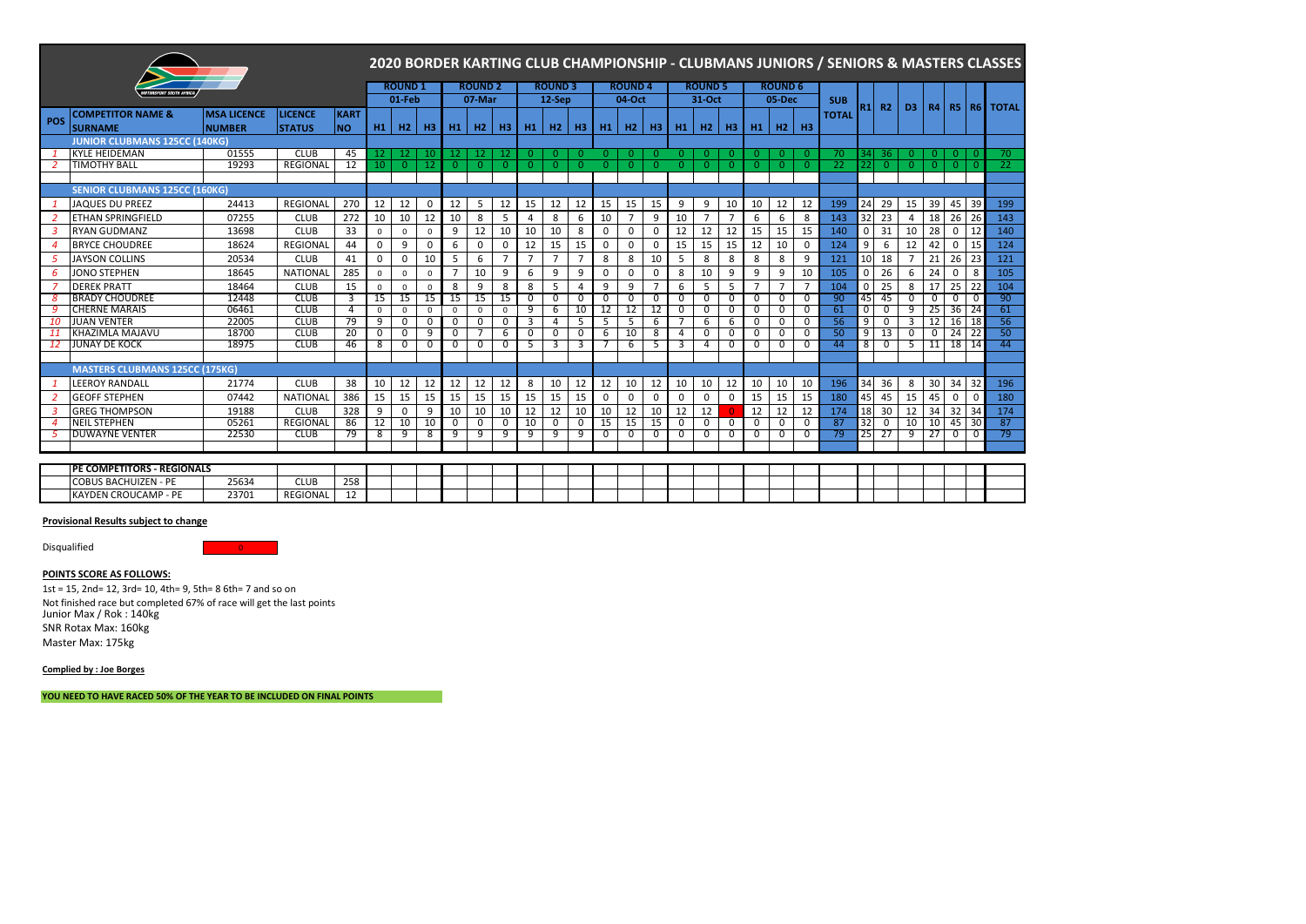|                  |                                       |                    |                 |             |             |               |                |                |                |                |                |                |                |                |                |                |                |                |                |                |                |                | 2020 BORDER KARTING CLUB CHAMPIONSHIP - CLUBMANS JUNIORS / SENIORS & MASTERS CLASSES |                |                          |                |                |                |             |              |
|------------------|---------------------------------------|--------------------|-----------------|-------------|-------------|---------------|----------------|----------------|----------------|----------------|----------------|----------------|----------------|----------------|----------------|----------------|----------------|----------------|----------------|----------------|----------------|----------------|--------------------------------------------------------------------------------------|----------------|--------------------------|----------------|----------------|----------------|-------------|--------------|
|                  |                                       |                    |                 |             |             | <b>ROUND1</b> |                |                | <b>ROUND 2</b> |                |                | <b>ROUND3</b>  |                |                | <b>ROUND4</b>  |                |                | <b>ROUND 5</b> |                |                | <b>ROUND 6</b> |                |                                                                                      |                |                          |                |                |                |             |              |
|                  | <b>TORSPORT SOUTH AFRIC</b>           |                    |                 |             |             | $01-Feb$      |                |                | 07-Mar         |                |                | $12-$ Sep      |                |                | 04-Oct         |                |                | 31-Oct         |                |                | 05-Dec         |                | <b>SUB</b>                                                                           |                |                          |                |                |                |             |              |
|                  | <b>COMPETITOR NAME &amp;</b>          | <b>MSA LICENCE</b> | <b>LICENCE</b>  | <b>KART</b> |             |               |                |                |                |                |                |                |                |                |                |                |                |                |                |                |                |                | <b>TOTAL</b>                                                                         | R1             | R <sub>2</sub>           | D <sub>3</sub> |                | $R4$ R5        | <b>R6</b>   | <b>TOTAL</b> |
| POS              | <b>SURNAME</b>                        | <b>NUMBER</b>      | <b>STATUS</b>   | INO.        | H1          | H2            | H3             | H <sub>1</sub> | H2             | H <sub>3</sub> | <b>H1</b>      | H2             | <b>H3</b>      | H <sub>1</sub> | H2             | H3             | H1             | H2             | H <sub>3</sub> | H1             | H2             | H <sub>3</sub> |                                                                                      |                |                          |                |                |                |             |              |
|                  | <b>JUNIOR CLUBMANS 125CC (140KG)</b>  |                    |                 |             |             |               |                |                |                |                |                |                |                |                |                |                |                |                |                |                |                |                |                                                                                      |                |                          |                |                |                |             |              |
|                  | <b>KYLE HEIDEMAN</b>                  | 01555              | <b>CLUB</b>     | 45          | 12          | 12            | 10             | -12            | 12             | 12             | $\Omega$       | $\overline{0}$ | $\Omega$       | $\Omega$       | $\mathbf{0}$   | $\Omega$       | $\Omega$       | $\Omega$       | -0             | $\Omega$       | $\Omega$       | $\overline{0}$ | 70                                                                                   | 34 I           | 36                       | $\mathbf{0}$   | $\overline{0}$ | 0              | 0           | 70           |
|                  | <b>TIMOTHY BALL</b>                   | 19293              | REGIONAL        | 12          | 10          | $\Omega$      | -12            | $\Omega$       | $\Omega$       | $\Omega$       | $\Omega$       | $\Omega$       | $\Omega$       | $\Omega$       | $\Omega$       | $\Omega$       | $\Omega$       | $\Omega$       | -0             | $\Omega$       | $\Omega$       | -0             | 22                                                                                   | 22             | $\Omega$                 | $\Omega$       | $\Omega$       | $\overline{0}$ | $\Omega$    | 22           |
|                  |                                       |                    |                 |             |             |               |                |                |                |                |                |                |                |                |                |                |                |                |                |                |                |                |                                                                                      |                |                          |                |                |                |             |              |
|                  | <b>SENIOR CLUBMANS 125CC (160KG)</b>  |                    |                 |             |             |               |                |                |                |                |                |                |                |                |                |                |                |                |                |                |                |                |                                                                                      |                |                          |                |                |                |             |              |
|                  | <b>JAQUES DU PREEZ</b>                | 24413              | REGIONAL        | 270         | 12          | 12            | $\mathbf 0$    | 12             | 5              | 12             | 15             | 12             | 12             | 15             | 15             | 15             | 9              | 9              | 10             | 10             | 12             | 12             | 199                                                                                  | 24             | 29                       | 15             | 39             | 45             | 39          | 199          |
|                  | <b>ETHAN SPRINGFIELD</b>              | 07255              | <b>CLUB</b>     | 272         | 10          | 10            | 12             | 10             | 8              | 5              | $\overline{4}$ | 8              | 6              | 10             | $\overline{7}$ | 9              | 10             | $\mathcal{L}$  | 7              | 6              | 6              | 8              | 143                                                                                  | 32             | 23                       | $\overline{4}$ | 18             | 26             | 26          | 143          |
| 3                | <b>RYAN GUDMANZ</b>                   | 13698              | <b>CLUB</b>     | 33          | $\Omega$    | $^{\circ}$    | $\Omega$       | 9              | 12             | 10             | 10             | 10             | 8              | $\mathbf 0$    | 0              | 0              | 12             | 12             | 12             | 15             | 15             | 15             | 140                                                                                  | 0              | 31                       | 10             | 28             | 0              | 12          | 140          |
| $\overline{4}$   | <b>BRYCE CHOUDREE</b>                 | 18624              | REGIONAL        | 44          | $\Omega$    | 9             | $\Omega$       | 6              | $\Omega$       | $\mathbf 0$    | 12             | 15             | 15             | $\mathbf 0$    | $\mathbf 0$    | 0              | 15             | 15             | 15             | 12             | 10             | $\mathbf 0$    | 124                                                                                  | 9              | - 6                      | 12             | 42             | 0              | 15          | 124          |
| -5               | <b>JAYSON COLLINS</b>                 | 20534              | <b>CLUB</b>     | 41          | $\mathbf 0$ | $\Omega$      | 10             | 5              | 6              | $\overline{7}$ | $\overline{7}$ | $\overline{7}$ | $\overline{7}$ | 8              | 8              | 10             | 5              | 8              | 8              | 8              | 8              | 9              | 121                                                                                  | 10             | 18                       | $\overline{7}$ | 21             | 26             | 23          | 121          |
| -6               | JONO STEPHEN                          | 18645              | <b>NATIONAL</b> | 285         | 0           | $\mathbf 0$   | $\mathbf 0$    |                | 10             | 9              | 6              | 9              | 9              | $\mathbf 0$    | 0              | 0              | 8              | 10             | 9              | 9              | 9              | 10             | 105                                                                                  | 0              | 26                       | 6              | 24             | 0              | 8           | 105          |
|                  | <b>DEREK PRATT</b>                    | 18464              | <b>CLUB</b>     | 15          | $\Omega$    | $\Omega$      | $\Omega$       | 8              | 9              | 8              | 8              | 5              | 4              | 9              | 9              | $\overline{7}$ | 6              | 5              | 5              | $\overline{ }$ | $\overline{7}$ | $\overline{7}$ | 104                                                                                  | $\Omega$       | 25                       | 8              | 17             | 25             | 22          | 104          |
| 8                | <b>BRADY CHOUDREE</b>                 | 12448              | <b>CLUB</b>     | 3           | 15          | 15            | 15             | 15             | 15             | 15             | 0              | 0              | 0              | 0              | $\Omega$       | 0              | 0              | $\Omega$       | $\Omega$       | $\Omega$       | $\Omega$       | 0              | 90                                                                                   | 45             | 45                       | 0              | 0              | $\Omega$       | 0           | 90           |
| 9                | <b>CHERNE MARAIS</b>                  | 06461              | <b>CLUB</b>     | 4           | $\Omega$    | $\Omega$      | $\Omega$       | $\Omega$       | $\Omega$       | $\Omega$       | 9              | 6              | 10             | 12             | 12             | 12             | $\Omega$       | $\Omega$       | $\Omega$       | $\Omega$       | $\Omega$       | $\Omega$       | 61                                                                                   | $\overline{0}$ | $\Omega$                 | 9              | 25             | 36             | 24          | 61           |
| 10               | <b>JUAN VENTER</b>                    | 22005              | <b>CLUB</b>     | 79          | 9           | $\Omega$      | $\overline{0}$ | $\Omega$       | $\Omega$       | $\overline{0}$ | 3              | 4              | 5              | 5              | 5              | 6              |                | 6              | 6              | $\overline{0}$ | $\Omega$       | 0              | 56                                                                                   | 9              | 0                        | 3              | 12             | 16             | 18          | 56           |
| 11               | KHAZIMLA MAJAVU                       | 18700              | <b>CLUB</b>     | 20          | 0           | $\Omega$      | 9              | 0              |                | 6              | 0              | 0              | 0              | 6              | 10             | 8              | $\overline{4}$ | 0              | 0              | 0              | 0              | 0              | 50                                                                                   | 9              | 13                       | 0              | $\overline{0}$ | 24             | 22          | 50           |
| -12              | JUNAY DE KOCK                         | 18975              | <b>CLUB</b>     | 46          | 8           | 0             | $\Omega$       | $\Omega$       | $\Omega$       | 0              | 5              | 3              | 3              |                | 6              | 5              | 3              | 4              | 0              | $\overline{0}$ | $\Omega$       | 0              | 44                                                                                   | 8              | $\overline{\phantom{0}}$ | -5             | 11             | 18             | 14          | 44           |
|                  |                                       |                    |                 |             |             |               |                |                |                |                |                |                |                |                |                |                |                |                |                |                |                |                |                                                                                      |                |                          |                |                |                |             |              |
|                  | <b>MASTERS CLUBMANS 125CC (175KG)</b> |                    |                 |             |             |               |                |                |                |                |                |                |                |                |                |                |                |                |                |                |                |                |                                                                                      |                |                          |                |                |                |             |              |
|                  | <b>LEEROY RANDALL</b>                 | 21774              | <b>CLUB</b>     | 38          | 10          | 12            | 12             | 12             | 12             | 12             | 8              | 10             | 12             | 12             | 10             | 12             | 10             | 10             | 12             | 10             | 10             | 10             | 196                                                                                  | 34             | 36                       | 8              | 30             | 34             | 32          | 196          |
| 2                | <b>GEOFF STEPHEN</b>                  | 07442              | <b>NATIONAL</b> | 386         | 15          | 15            | 15             | 15             | 15             | 15             | 15             | 15             | 15             | $\mathbf 0$    | $\mathbf 0$    | 0              | 0              | $\Omega$       | $\Omega$       | 15             | 15             | 15             | 180                                                                                  | 45             | 45                       | 15             | 45             | $\mathbf 0$    | $\mathbf 0$ | 180          |
| 3                | <b>GREG THOMPSON</b>                  | 19188              | <b>CLUB</b>     | 328         | 9           | $\mathbf 0$   | 9              | 10             | 10             | 10             | 12             | 12             | 10             | 10             | 12             | 10             | 12             | 12             |                | 12             | 12             | 12             | 174                                                                                  | 18             | 30                       | 12             | 34             | 32             | 34          | 174          |
| $\boldsymbol{4}$ | <b>NEIL STEPHEN</b>                   | 05261              | <b>REGIONAL</b> | 86          | 12          | 10            | 10             | $\Omega$       | 0              | 0              | 10             | $\overline{0}$ | 0              | 15             | 15             | 15             | $\overline{0}$ | $\Omega$       | $\Omega$       | $\overline{0}$ | $\Omega$       | 0              | 87                                                                                   | 32             | 0                        | 10             | 10             | 45             | 30          | 87           |
| -5               | <b>DUWAYNE VENTER</b>                 | 22530              | <b>CLUB</b>     | 79          | 8           | 9             | 8              | 9              | 9              | 9              | 9              | 9              | 9              | $\mathbf 0$    | 0              | 0              | $\mathbf 0$    | $\Omega$       | $\Omega$       | $\mathbf 0$    | 0              | 0              | 79                                                                                   | 25             | 27                       | 9              | 27             | 0              | $\mathbf 0$ | 79           |
|                  |                                       |                    |                 |             |             |               |                |                |                |                |                |                |                |                |                |                |                |                |                |                |                |                |                                                                                      |                |                          |                |                |                |             |              |
|                  |                                       |                    |                 |             |             |               |                |                |                |                |                |                |                |                |                |                |                |                |                |                |                |                |                                                                                      |                |                          |                |                |                |             |              |
|                  | <b>IPE COMPETITORS - REGIONALS</b>    |                    |                 |             |             |               |                |                |                |                |                |                |                |                |                |                |                |                |                |                |                |                |                                                                                      |                |                          |                |                |                |             |              |
|                  | <b>COBUS BACHUIZEN - PE</b>           | 25634              | <b>CLUB</b>     | 258         |             |               |                |                |                |                |                |                |                |                |                |                |                |                |                |                |                |                |                                                                                      |                |                          |                |                |                |             |              |
|                  | <b>KAYDEN CROUCAMP - PE</b>           | 23701              | REGIONAL        | 12          |             |               |                |                |                |                |                |                |                |                |                |                |                |                |                |                |                |                |                                                                                      |                |                          |                |                |                |             |              |

Disqualified and the control of the control of the control of the control of the control of the control of the control of the control of the control of the control of the control of the control of the control of the contro

**POINTS SCORE AS FOLLOWS:**

1st = 15, 2nd= 12, 3rd= 10, 4th= 9, 5th= 8 6th= 7 and so on Not finished race but completed 67% of race will get the last points Junior Max / Rok : 140kg SNR Rotax Max: 160kg Master Max: 175kg

**Complied by : Joe Borges**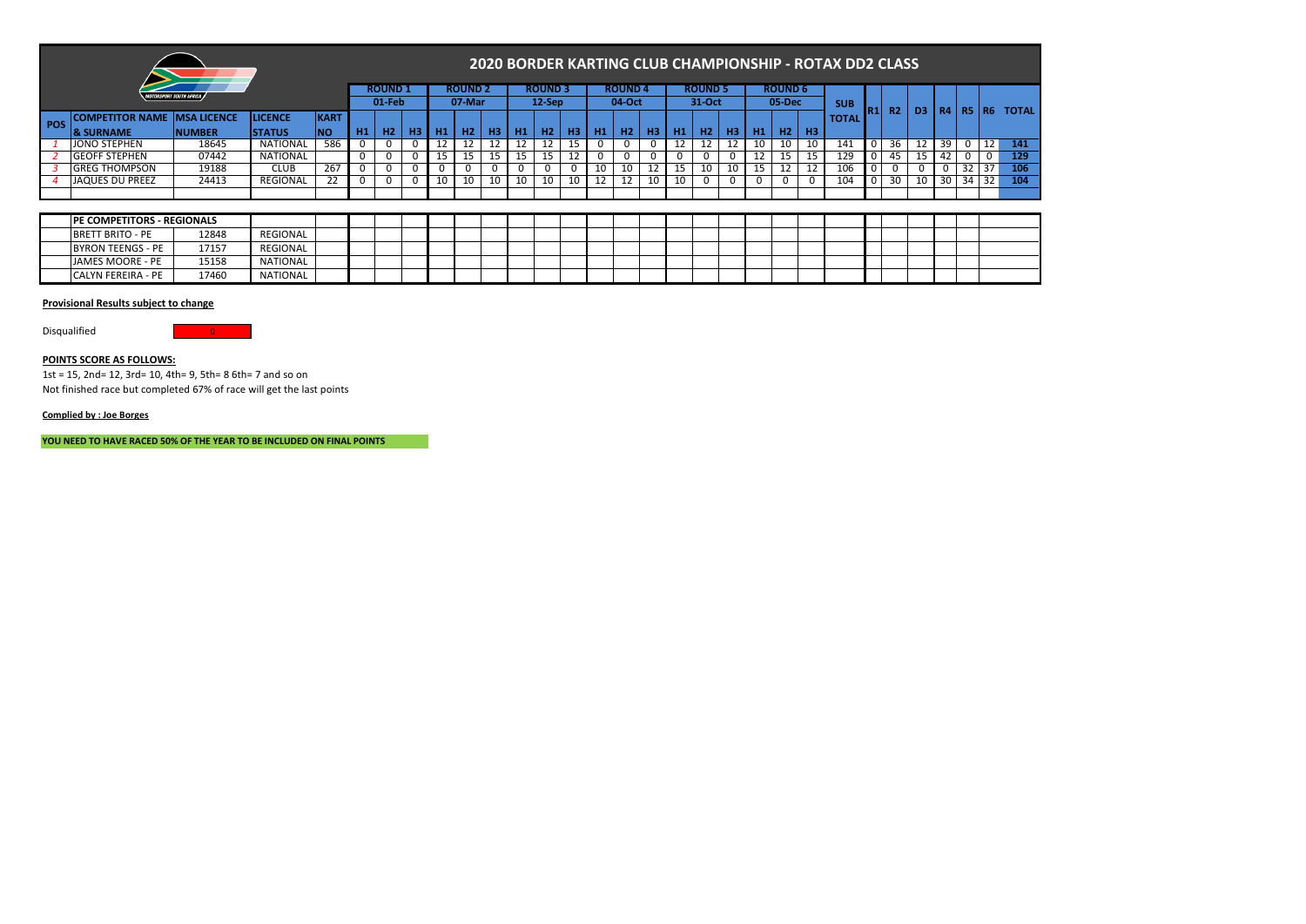|                                    |                                |                |             |           |                |    |           |                | <b>2020 BORDEI</b> |              |
|------------------------------------|--------------------------------|----------------|-------------|-----------|----------------|----|-----------|----------------|--------------------|--------------|
|                                    | <b>MOTORSPORT SOUTH AFRICA</b> |                |             |           | <b>ROUND 1</b> |    |           | <b>ROUND 2</b> |                    | <b>ROUNI</b> |
|                                    |                                |                |             |           | $01-Feb$       |    |           | 07-Mar         |                    | $12-Se$      |
| <b>OMPETITOR NAME  MSA LICENCE</b> |                                | <b>LICENCE</b> | <b>KART</b> |           |                |    |           |                |                    |              |
| <b>SHRNAME</b>                     | <b>NIIMRER</b>                 | <b>STATIIS</b> | <b>INO</b>  | <b>H1</b> | H <sub>2</sub> | HЗ | <b>H1</b> | н2             |                    | H2           |

# **2020 BORDER KARTING CLUB CHAMPIONSHIP - ROTAX DD2 CLASS**

|      |                                     | <b>MOTORSPORT SOUTH AFRICA J</b> |                 |             |                | <b>ROUND 1</b> |    |    | <b>ROUND 2</b> |    |    | <b>ROUND 3</b> |     |    | <b>ROUND 4</b> |                |    | <b>ROUND 5</b> |    | <b>ROUND 6</b> |    |              |     |                |                |           |              |    |              |
|------|-------------------------------------|----------------------------------|-----------------|-------------|----------------|----------------|----|----|----------------|----|----|----------------|-----|----|----------------|----------------|----|----------------|----|----------------|----|--------------|-----|----------------|----------------|-----------|--------------|----|--------------|
|      |                                     |                                  |                 |             |                | $01$ -Feb      |    |    | 07-Mar         |    |    | $12-Sep$       |     |    | 04-Oct         |                |    | 31-Oct         |    | 05-Dec         |    | <b>SUB</b>   |     |                |                |           | <b>R5 R6</b> |    | <b>TOTAL</b> |
| POS. | <b>COMPETITOR NAME IMSA LICENCE</b> |                                  | <b>LICENCE</b>  | <b>KART</b> |                |                |    |    |                |    |    |                |     |    |                |                |    |                |    |                |    | <b>TOTAL</b> | IR1 | R <sub>2</sub> | D <sub>3</sub> | <b>R4</b> |              |    |              |
|      | <b>8 SURNAME</b>                    | <b>NUMBER</b>                    | <b>STATUS</b>   |             | H <sub>1</sub> | Н2             | нз |    | Н2             | ΗЗ | Н1 | Н2             |     | Н1 | H2             | H <sub>3</sub> | H1 | H2             |    | H <sub>2</sub> | H3 |              |     |                |                |           |              |    |              |
|      | JONO STEPHEN                        | 18645                            | <b>NATIONAL</b> | 586         |                |                |    |    |                |    |    |                | 15. |    | 0              | 0              | 12 | ΤT             |    | 10             |    | 141          |     | 36             | 12             | 39        |              |    | 141          |
|      | <b>GEOFF STEPHEN</b>                | 07442                            | <b>NATIONAL</b> |             |                |                |    |    |                |    |    | 15             | 12  | 0  | 0              | υ              |    | U              |    | 15             |    | 129          |     | 45             | 15             |           |              |    | 129          |
|      | <b>GREG THOMPSON</b>                | 19188                            | CLUB            | 267         |                |                |    |    |                |    |    |                |     | 10 | 10             | ᅭ              |    | 10             | 15 | 12             |    | 106          |     |                |                | 0         |              | 37 | 106          |
|      | JAQUES DU PREEZ                     | 24413                            | <b>REGIONAL</b> |             |                |                |    | 10 | 10             | 10 | 10 | 10             | 10  |    | 12             |                |    | U              |    |                |    | 104          |     | 30             | 10             | 30 I      | 34           | 32 | 104          |
|      |                                     |                                  |                 |             |                |                |    |    |                |    |    |                |     |    |                |                |    |                |    |                |    |              |     |                |                |           |              |    |              |

| <b>PE COMPETITORS - REGIONALS</b> |       |                 |  |  |  |  |  |  |  |  |  |  |  |  |  |
|-----------------------------------|-------|-----------------|--|--|--|--|--|--|--|--|--|--|--|--|--|
| <b>BRETT BRITO - PE</b>           | 12848 | REGIONAL        |  |  |  |  |  |  |  |  |  |  |  |  |  |
| BYRON TEENGS - PE                 | 17157 | REGIONAL        |  |  |  |  |  |  |  |  |  |  |  |  |  |
| JAMES MOORE - PE                  | 15158 | <b>NATIONAL</b> |  |  |  |  |  |  |  |  |  |  |  |  |  |
| <b>CALYN FEREIRA - PE</b>         | 17460 | NATIONAL        |  |  |  |  |  |  |  |  |  |  |  |  |  |

### **Provisional Results subject to change**

Disqualified 0

### **POINTS SCORE AS FOLLOWS:**

1st = 15, 2nd= 12, 3rd= 10, 4th= 9, 5th= 8 6th= 7 and so on Not finished race but completed 67% of race will get the last points

### **Complied by : Joe Borges**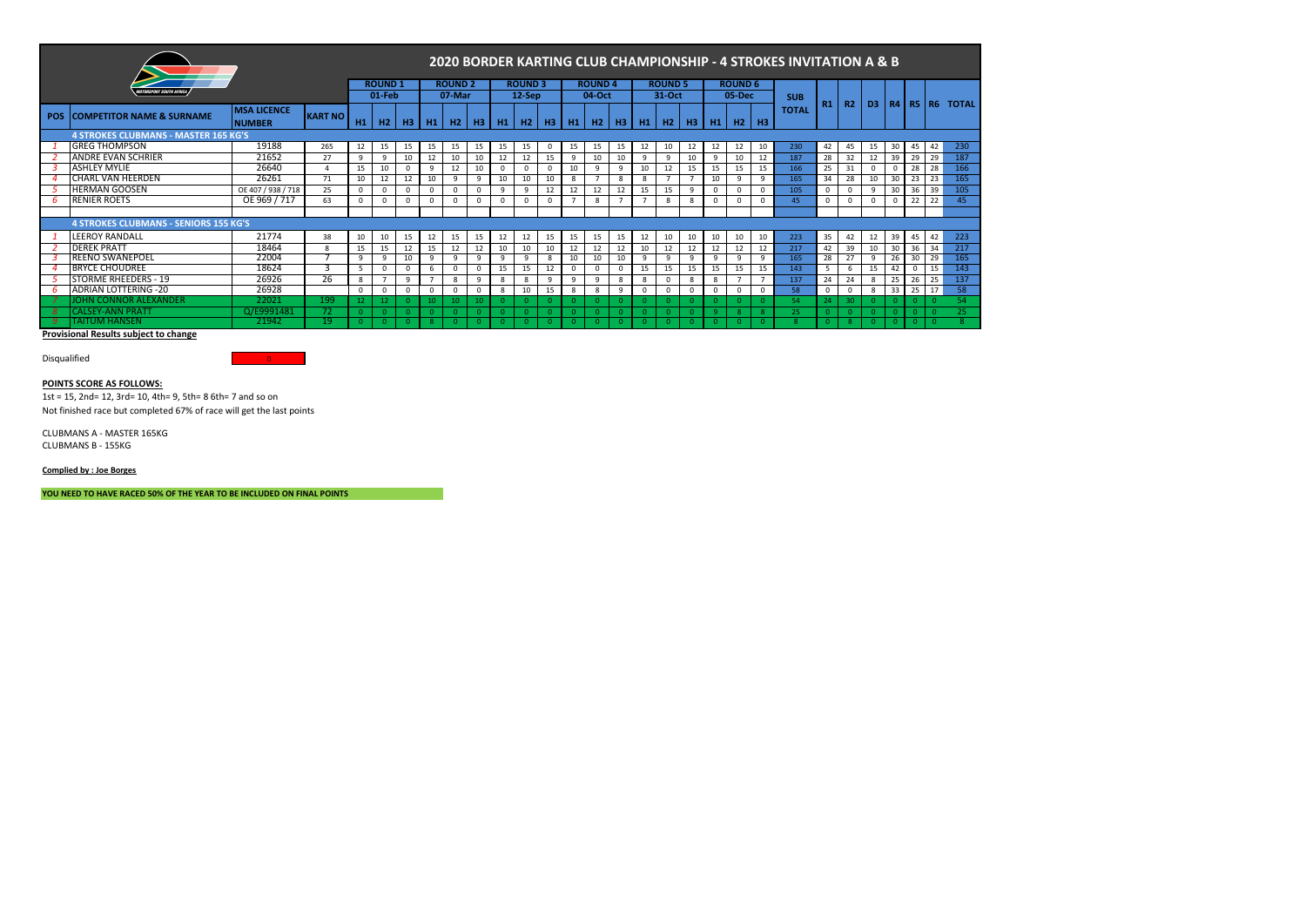|            |                                              |                                     |                |                 |               |          |          |                |          |           |                |          |                |                |           |              |                |          |                |                | 2020 BORDER KARTING CLUB CHAMPIONSHIP - 4 STROKES INVITATION A & B |              |          |            |          |    |            |            |                |
|------------|----------------------------------------------|-------------------------------------|----------------|-----------------|---------------|----------|----------|----------------|----------|-----------|----------------|----------|----------------|----------------|-----------|--------------|----------------|----------|----------------|----------------|--------------------------------------------------------------------|--------------|----------|------------|----------|----|------------|------------|----------------|
|            | <b>ITORSPORT SOUTH AFRICA</b>                |                                     |                |                 | <b>ROUND1</b> |          |          | <b>ROUND 2</b> |          |           | <b>ROUND 3</b> |          |                | <b>ROUND4</b>  |           |              | <b>ROUND 5</b> |          |                | <b>ROUND 6</b> |                                                                    |              |          |            |          |    |            |            |                |
|            |                                              |                                     |                |                 | 01-Feb        |          |          | 07-Mar         |          |           | $12-$ Sep      |          |                | 04-Oct         |           |              | 31-Oct         |          |                | 05-Dec         |                                                                    | <b>SUB</b>   | R1       | R2         | D3       |    |            |            | R4 R5 R6 TOTAL |
| <b>POS</b> | <b>COMPETITOR NAME &amp; SURNAME</b>         | <b>MSA LICENCE</b><br><b>NUMBER</b> | <b>KART NO</b> | H1              | H2            | H3       | H1       | H2             |          | $H3$ $H1$ | <b>H2</b>      | H3       |                | $H1$ $H2$      | <b>H3</b> |              | $H1$ $H2$      | H3       | H <sub>1</sub> | H2             | <b>H3</b>                                                          | <b>TOTAL</b> |          |            |          |    |            |            |                |
|            | <b>4 STROKES CLUBMANS - MASTER 165 KG'S</b>  |                                     |                |                 |               |          |          |                |          |           |                |          |                |                |           |              |                |          |                |                |                                                                    |              |          |            |          |    |            |            |                |
|            | <b>GREG THOMPSON</b>                         | 19188                               | 265            | 12              | 15            | 15       | 15       | 15             | 15       | 15        | 15             | 0        | 15             | 15             | 15        | 12           | 10             | 12       | 12             | 12             | 10                                                                 | 230          | 42       | 45         | 15       | 30 | 45         | 42         | 230            |
|            | <b>ANDRE EVAN SCHRIER</b>                    | 21652                               | 27             | $\mathbf{q}$    | 9             | 10       | 12       | 10             | 10       | 12        | 12             | 15       | 9              | 10             | 10        | 9            | 9              | 10       | q              | 10             | 12                                                                 | 187          | 28       | 32         | 12       | 39 | 29         | 29         | 187            |
|            | <b>ASHLEY MYLIE</b>                          | 26640                               | $\Lambda$      | 15              | 10            |          | 9        | 12             | 10       | $\Omega$  |                |          | 10             | 9              | 9         | 10           | 12             | 15       | 15             | 15             | 15                                                                 | 166          | 25       | 31         | $\Omega$ |    | 28         | 28         | 166            |
|            | CHARL VAN HEERDEN                            | 26261                               | 71             | 10              | 12            | 12       | 10       | -9             | 9        | 10        | 10             | 10       | 8              | $\overline{7}$ | 8         | 8            |                |          | 10             | $\Omega$       | 9                                                                  | 165          | 34       | 28         | 10       | 30 | 23         | 23         | 165            |
|            | <b>HERMAN GOOSEN</b>                         | OE 407 / 938 / 718                  | 25             | $\Omega$        | $\Omega$      | $\Omega$ | $\Omega$ | <sup>n</sup>   | $\Omega$ | -9        | 9              | 12       | 12             | 12             | 12        | 15           | 15             |          |                |                |                                                                    | 105          | $\Omega$ | $^{\circ}$ | 9        | 30 | 36         | 39         | 105            |
|            | <b>RENIER ROETS</b>                          | OE 969 / 717                        | 63             | $\Omega$        |               | $\Omega$ | $\Omega$ |                | $\Omega$ | $\Omega$  | $\Omega$       |          | $\overline{7}$ | 8              |           |              | 8              |          | n              |                |                                                                    | 45           | $\Omega$ | $\Omega$   | $\Omega$ |    | 22         | 22         | 45             |
|            |                                              |                                     |                |                 |               |          |          |                |          |           |                |          |                |                |           |              |                |          |                |                |                                                                    |              |          |            |          |    |            |            |                |
|            | <b>4 STROKES CLUBMANS - SENIORS 155 KG'S</b> |                                     |                |                 |               |          |          |                |          |           |                |          |                |                |           |              |                |          |                |                |                                                                    |              |          |            |          |    |            |            |                |
|            | LEEROY RANDALL                               | 21774                               | 38             | 10 <sup>1</sup> | 10            | 15       | 12       | 15             | 15       | 12        | 12             | 15       | 15             | 15             | 15        | 12           | 10             | 10       | 10             | 10             | 10                                                                 | 223          | 35       | 42         | 12       | 39 | 45         | 42         | 223            |
|            | <b>DEREK PRATT</b>                           | 18464                               | 8              | 15              | 15            | 12       | 15       | 12             | 12       | 10        | 10             | 10       | 12             | 12             | 12        | 10           | 12             | 12       | 12             | 12             | 12                                                                 | 217          | 42       | 39         | 10       | 30 | 36         | 34         | 217            |
|            | <b>REENO SWANEPOEL</b>                       | 22004                               |                | $\Omega$        | 9             | 10       | 9        | Q              | 9        | ۹         | 9              | 8        | 10             | 10             | 10        | -9           | 9              |          |                | $\Omega$       |                                                                    | 165          | 28       | 27         | 9        | 26 | 30         | 29         | 165            |
|            | <b>BRYCE CHOUDREE</b>                        | 18624                               |                |                 |               |          | 6        |                | $\Omega$ | 15        | 15             | 12       | $\mathbf 0$    |                | $\Omega$  | 15           | 15             | 15       | 15             | 15             | 15                                                                 | 143          |          | 6          | 15       | 42 | $^{\circ}$ | 15         | 143            |
|            | <b>STORME RHEEDERS - 19</b>                  | 26926                               | 26             | $\mathbf{8}$    |               | 9        |          | 8              | 9        | 8         | 8              | 9        | 9              | 9              | 8         | 8            |                |          | 8              |                |                                                                    | 137          | 24       | 24         | 8        | 25 | 26         | 25         | 137            |
| -6         | <b>ADRIAN LOTTERING -20</b>                  | 26928                               |                | $\Omega$        | $\Omega$      | $\Omega$ | $\Omega$ |                | $\Omega$ | 8         | 10             | 15       | 8              | 8              | 9         | <sup>0</sup> | $\Omega$       |          |                |                |                                                                    | 58           | $\Omega$ | $^{\circ}$ | 8        | 33 | 25         | 17         | 58             |
|            | OHN CONNOR ALEXANDER                         | 22021                               | 199            |                 |               |          | $10^{1}$ |                | 10.      |           |                |          |                | $\Omega$       |           |              |                |          |                | $\Omega$       |                                                                    | 54           | 24       | -30        |          |    |            |            | 54             |
|            | <b>CALSEY-ANN PRAT</b>                       | Q/E9991481                          | 72.            |                 |               |          |          | $\Omega$       |          |           |                | $\Omega$ |                | $\Omega$       | $\Omega$  |              |                | $\Omega$ | ം              | $\mathbf{R}$   |                                                                    | 25           | $\Omega$ |            |          |    | -0         | $\sqrt{2}$ | 25             |
|            | TAITUM HANSEN                                | 21942                               | 19             |                 |               |          |          |                |          |           |                | -0.      |                | -0             |           |              |                | $\Omega$ |                | $\Omega$       |                                                                    |              | -0       |            |          |    | -0         | -0         |                |

Disqualified 0

**POINTS SCORE AS FOLLOWS:**

1st = 15, 2nd= 12, 3rd= 10, 4th= 9, 5th= 8 6th= 7 and so on Not finished race but completed 67% of race will get the last points

CLUBMANS A - MASTER 165KG CLUBMANS B - 155KG

**Complied by : Joe Borges**